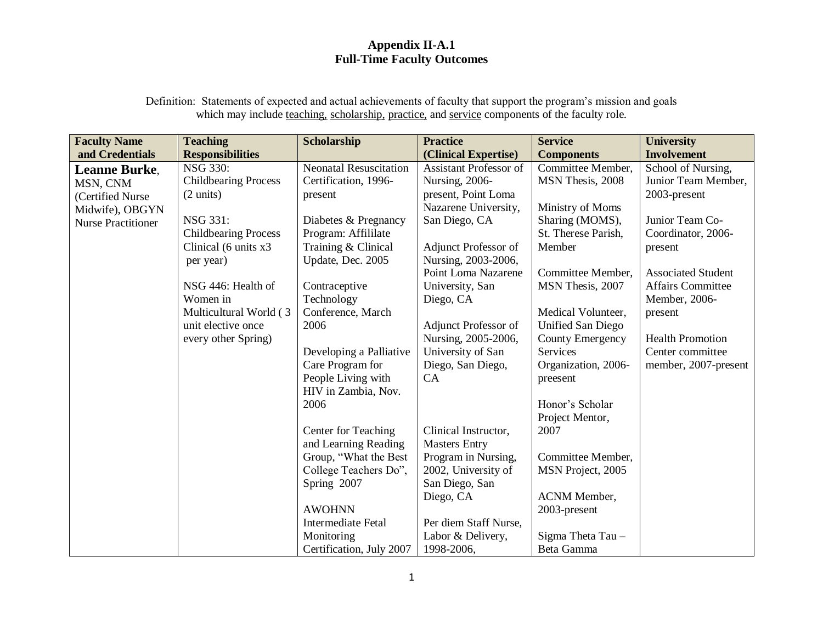## **Appendix II-A.1 Full-Time Faculty Outcomes**

Definition: Statements of expected and actual achievements of faculty that support the program's mission and goals which may include teaching, scholarship, practice, and service components of the faculty role.

| <b>Faculty Name</b>       | <b>Teaching</b>             | Scholarship                   | <b>Practice</b>               | <b>Service</b>           | <b>University</b>         |
|---------------------------|-----------------------------|-------------------------------|-------------------------------|--------------------------|---------------------------|
| and Credentials           | <b>Responsibilities</b>     |                               | (Clinical Expertise)          | <b>Components</b>        | <b>Involvement</b>        |
| <b>Leanne Burke.</b>      | <b>NSG 330:</b>             | <b>Neonatal Resuscitation</b> | <b>Assistant Professor of</b> | Committee Member,        | School of Nursing,        |
| MSN, CNM                  | <b>Childbearing Process</b> | Certification, 1996-          | Nursing, 2006-                | MSN Thesis, 2008         | Junior Team Member,       |
| (Certified Nurse          | $(2 \text{ units})$         | present                       | present, Point Loma           |                          | 2003-present              |
| Midwife), OBGYN           |                             |                               | Nazarene University,          | Ministry of Moms         |                           |
| <b>Nurse Practitioner</b> | NSG 331:                    | Diabetes & Pregnancy          | San Diego, CA                 | Sharing (MOMS),          | Junior Team Co-           |
|                           | <b>Childbearing Process</b> | Program: Affililate           |                               | St. Therese Parish,      | Coordinator, 2006-        |
|                           | Clinical (6 units x3        | Training & Clinical           | Adjunct Professor of          | Member                   | present                   |
|                           | per year)                   | Update, Dec. 2005             | Nursing, 2003-2006,           |                          |                           |
|                           |                             |                               | Point Loma Nazarene           | Committee Member,        | <b>Associated Student</b> |
|                           | NSG 446: Health of          | Contraceptive                 | University, San               | MSN Thesis, 2007         | Affairs Committee         |
|                           | Women in                    | Technology                    | Diego, CA                     |                          | Member, 2006-             |
|                           | Multicultural World (3      | Conference, March             |                               | Medical Volunteer,       | present                   |
|                           | unit elective once          | 2006                          | <b>Adjunct Professor of</b>   | <b>Unified San Diego</b> |                           |
|                           | every other Spring)         |                               | Nursing, 2005-2006,           | County Emergency         | <b>Health Promotion</b>   |
|                           |                             | Developing a Palliative       | University of San             | Services                 | Center committee          |
|                           |                             | Care Program for              | Diego, San Diego,             | Organization, 2006-      | member, 2007-present      |
|                           |                             | People Living with            | CA                            | preesent                 |                           |
|                           |                             | HIV in Zambia, Nov.           |                               |                          |                           |
|                           |                             | 2006                          |                               | Honor's Scholar          |                           |
|                           |                             |                               |                               | Project Mentor,          |                           |
|                           |                             | Center for Teaching           | Clinical Instructor,          | 2007                     |                           |
|                           |                             | and Learning Reading          | <b>Masters Entry</b>          |                          |                           |
|                           |                             | Group, "What the Best         | Program in Nursing,           | Committee Member,        |                           |
|                           |                             | College Teachers Do",         | 2002, University of           | MSN Project, 2005        |                           |
|                           |                             | Spring 2007                   | San Diego, San                |                          |                           |
|                           |                             |                               | Diego, CA                     | <b>ACNM</b> Member,      |                           |
|                           |                             | <b>AWOHNN</b>                 |                               | 2003-present             |                           |
|                           |                             | <b>Intermediate Fetal</b>     | Per diem Staff Nurse,         |                          |                           |
|                           |                             | Monitoring                    | Labor & Delivery,             | Sigma Theta Tau -        |                           |
|                           |                             | Certification, July 2007      | 1998-2006,                    | Beta Gamma               |                           |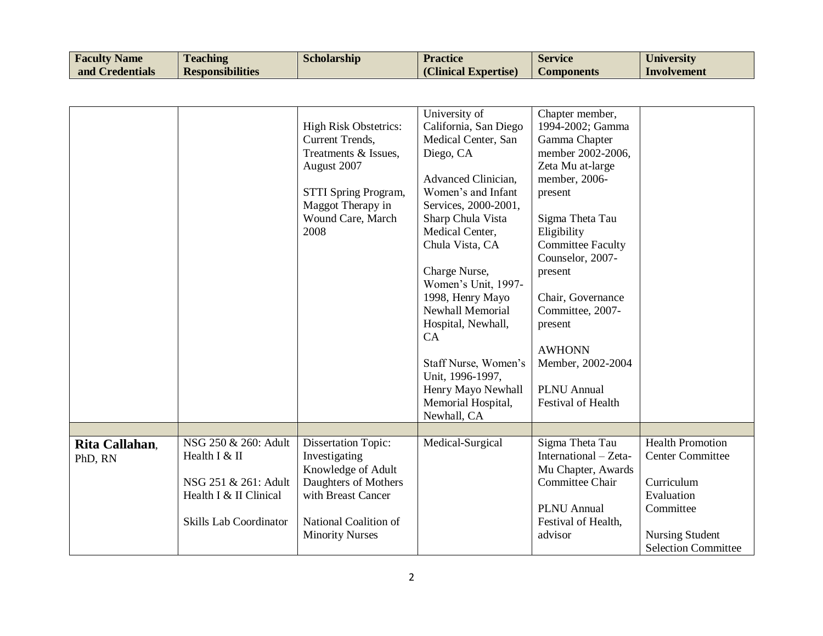| <b>Faculty Name</b> | <b>Teaching</b>         | <b>Scholarship</b> | <b>Practice</b>      | <b>Service</b>    | <b>University</b> |
|---------------------|-------------------------|--------------------|----------------------|-------------------|-------------------|
| and Credentials     | <b>Responsibilities</b> |                    | (Clinical Expertise) | <b>Components</b> | Involvement       |

|                           |                                                                                                                   | <b>High Risk Obstetrics:</b><br>Current Trends,<br>Treatments & Issues,<br>August 2007<br>STTI Spring Program,<br>Maggot Therapy in<br>Wound Care, March<br>2008   | University of<br>California, San Diego<br>Medical Center, San<br>Diego, CA<br>Advanced Clinician,<br>Women's and Infant<br>Services, 2000-2001,<br>Sharp Chula Vista<br>Medical Center,<br>Chula Vista, CA<br>Charge Nurse,<br>Women's Unit, 1997-<br>1998, Henry Mayo<br>Newhall Memorial<br>Hospital, Newhall,<br>CA<br>Staff Nurse, Women's<br>Unit, 1996-1997,<br>Henry Mayo Newhall<br>Memorial Hospital,<br>Newhall, CA | Chapter member,<br>1994-2002; Gamma<br>Gamma Chapter<br>member 2002-2006,<br>Zeta Mu at-large<br>member, 2006-<br>present<br>Sigma Theta Tau<br>Eligibility<br><b>Committee Faculty</b><br>Counselor, 2007-<br>present<br>Chair, Governance<br>Committee, 2007-<br>present<br><b>AWHONN</b><br>Member, 2002-2004<br><b>PLNU</b> Annual<br>Festival of Health |                                                                                                                                                     |
|---------------------------|-------------------------------------------------------------------------------------------------------------------|--------------------------------------------------------------------------------------------------------------------------------------------------------------------|-------------------------------------------------------------------------------------------------------------------------------------------------------------------------------------------------------------------------------------------------------------------------------------------------------------------------------------------------------------------------------------------------------------------------------|--------------------------------------------------------------------------------------------------------------------------------------------------------------------------------------------------------------------------------------------------------------------------------------------------------------------------------------------------------------|-----------------------------------------------------------------------------------------------------------------------------------------------------|
|                           |                                                                                                                   |                                                                                                                                                                    |                                                                                                                                                                                                                                                                                                                                                                                                                               |                                                                                                                                                                                                                                                                                                                                                              |                                                                                                                                                     |
| Rita Callahan,<br>PhD, RN | NSG 250 & 260: Adult<br>Health I & II<br>NSG 251 & 261: Adult<br>Health I & II Clinical<br>Skills Lab Coordinator | <b>Dissertation Topic:</b><br>Investigating<br>Knowledge of Adult<br>Daughters of Mothers<br>with Breast Cancer<br>National Coalition of<br><b>Minority Nurses</b> | Medical-Surgical                                                                                                                                                                                                                                                                                                                                                                                                              | Sigma Theta Tau<br>International - Zeta-<br>Mu Chapter, Awards<br>Committee Chair<br><b>PLNU</b> Annual<br>Festival of Health,<br>advisor                                                                                                                                                                                                                    | <b>Health Promotion</b><br><b>Center Committee</b><br>Curriculum<br>Evaluation<br>Committee<br><b>Nursing Student</b><br><b>Selection Committee</b> |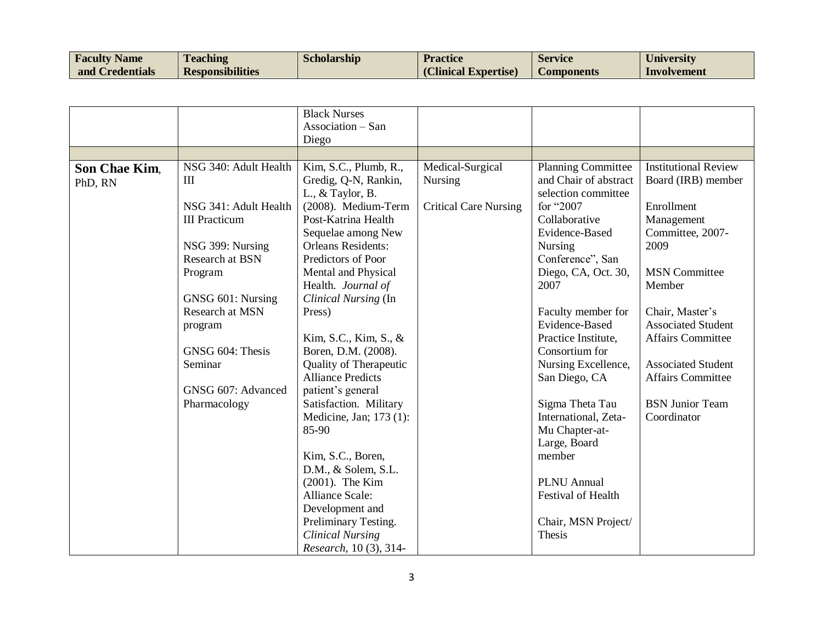| <b>Faculty Name</b> | <b>Teaching</b>         | <b>Scholarship</b> | <b>Practice</b>      | <b>Service</b>    | University  |
|---------------------|-------------------------|--------------------|----------------------|-------------------|-------------|
| and Credentials     | <b>Responsibilities</b> |                    | (Clinical Expertise) | <b>Components</b> | Involvement |

|                          |                                                                                                                                                                                                                                                                | <b>Black Nurses</b><br>Association - San                                                                                                                                                                                                                                                                                                                                                                                                                                                                                                                                                                                                                    |                                                                    |                                                                                                                                                                                                                                                                                                                                                                                                                                                                                      |                                                                                                                                                                                                                                                                                                                           |
|--------------------------|----------------------------------------------------------------------------------------------------------------------------------------------------------------------------------------------------------------------------------------------------------------|-------------------------------------------------------------------------------------------------------------------------------------------------------------------------------------------------------------------------------------------------------------------------------------------------------------------------------------------------------------------------------------------------------------------------------------------------------------------------------------------------------------------------------------------------------------------------------------------------------------------------------------------------------------|--------------------------------------------------------------------|--------------------------------------------------------------------------------------------------------------------------------------------------------------------------------------------------------------------------------------------------------------------------------------------------------------------------------------------------------------------------------------------------------------------------------------------------------------------------------------|---------------------------------------------------------------------------------------------------------------------------------------------------------------------------------------------------------------------------------------------------------------------------------------------------------------------------|
|                          |                                                                                                                                                                                                                                                                | Diego                                                                                                                                                                                                                                                                                                                                                                                                                                                                                                                                                                                                                                                       |                                                                    |                                                                                                                                                                                                                                                                                                                                                                                                                                                                                      |                                                                                                                                                                                                                                                                                                                           |
| Son Chae Kim,<br>PhD, RN | NSG 340: Adult Health<br>III<br>NSG 341: Adult Health<br><b>III</b> Practicum<br>NSG 399: Nursing<br><b>Research at BSN</b><br>Program<br>GNSG 601: Nursing<br>Research at MSN<br>program<br>GNSG 604: Thesis<br>Seminar<br>GNSG 607: Advanced<br>Pharmacology | Kim, S.C., Plumb, R.,<br>Gredig, Q-N, Rankin,<br>L., $&$ Taylor, B.<br>(2008). Medium-Term<br>Post-Katrina Health<br>Sequelae among New<br><b>Orleans Residents:</b><br>Predictors of Poor<br>Mental and Physical<br>Health. Journal of<br>Clinical Nursing (In<br>Press)<br>Kim, S.C., Kim, S., &<br>Boren, D.M. (2008).<br><b>Quality of Therapeutic</b><br><b>Alliance Predicts</b><br>patient's general<br>Satisfaction. Military<br>Medicine, Jan; 173 (1):<br>85-90<br>Kim, S.C., Boren,<br>D.M., & Solem, S.L.<br>(2001). The Kim<br>Alliance Scale:<br>Development and<br>Preliminary Testing.<br><b>Clinical Nursing</b><br>Research, 10 (3), 314- | Medical-Surgical<br><b>Nursing</b><br><b>Critical Care Nursing</b> | <b>Planning Committee</b><br>and Chair of abstract<br>selection committee<br>for "2007<br>Collaborative<br>Evidence-Based<br>Nursing<br>Conference", San<br>Diego, CA, Oct. 30,<br>2007<br>Faculty member for<br>Evidence-Based<br>Practice Institute,<br>Consortium for<br>Nursing Excellence,<br>San Diego, CA<br>Sigma Theta Tau<br>International, Zeta-<br>Mu Chapter-at-<br>Large, Board<br>member<br><b>PLNU</b> Annual<br>Festival of Health<br>Chair, MSN Project/<br>Thesis | <b>Institutional Review</b><br>Board (IRB) member<br>Enrollment<br>Management<br>Committee, 2007-<br>2009<br><b>MSN</b> Committee<br>Member<br>Chair, Master's<br><b>Associated Student</b><br><b>Affairs Committee</b><br><b>Associated Student</b><br><b>Affairs Committee</b><br><b>BSN Junior Team</b><br>Coordinator |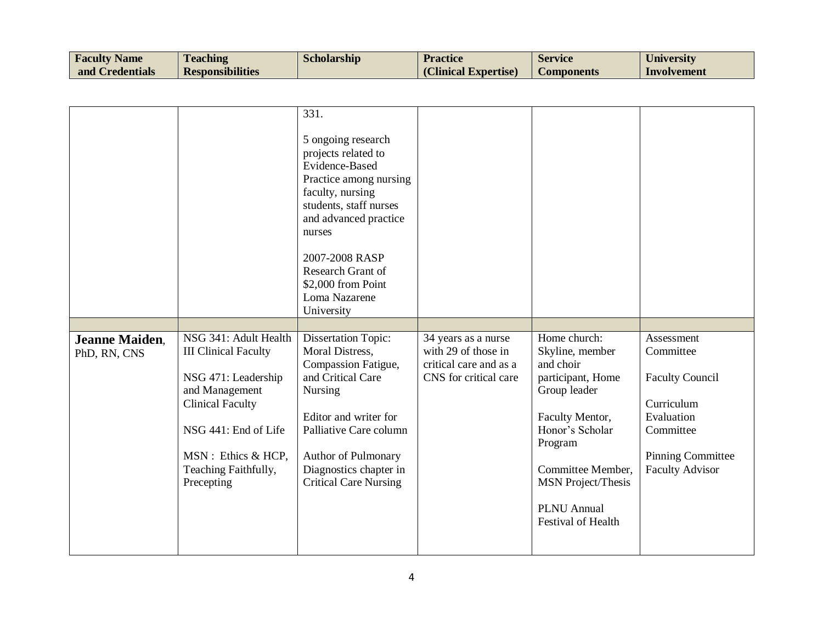| <b>Faculty Name</b> | <b>Teaching</b>         | <b>Scholarship</b> | <b>Practice</b>      | <b>Service</b>    | <b>University</b> |
|---------------------|-------------------------|--------------------|----------------------|-------------------|-------------------|
| and Credentials     | <b>Responsibilities</b> |                    | (Clinical Expertise) | <b>Components</b> | Involvement       |

| <b>Jeanne Maiden.</b><br>PhD, RN, CNS | NSG 341: Adult Health<br><b>III Clinical Faculty</b><br>NSG 471: Leadership<br>and Management<br><b>Clinical Faculty</b><br>NSG 441: End of Life | 331.<br>5 ongoing research<br>projects related to<br>Evidence-Based<br>Practice among nursing<br>faculty, nursing<br>students, staff nurses<br>and advanced practice<br>nurses<br>2007-2008 RASP<br>Research Grant of<br>\$2,000 from Point<br>Loma Nazarene<br>University<br><b>Dissertation Topic:</b><br>Moral Distress,<br>Compassion Fatigue,<br>and Critical Care<br>Nursing<br>Editor and writer for<br>Palliative Care column | 34 years as a nurse<br>with 29 of those in<br>critical care and as a<br>CNS for critical care | Home church:<br>Skyline, member<br>and choir<br>participant, Home<br>Group leader<br>Faculty Mentor,<br>Honor's Scholar<br>Program | Assessment<br>Committee<br><b>Faculty Council</b><br>Curriculum<br>Evaluation<br>Committee |
|---------------------------------------|--------------------------------------------------------------------------------------------------------------------------------------------------|---------------------------------------------------------------------------------------------------------------------------------------------------------------------------------------------------------------------------------------------------------------------------------------------------------------------------------------------------------------------------------------------------------------------------------------|-----------------------------------------------------------------------------------------------|------------------------------------------------------------------------------------------------------------------------------------|--------------------------------------------------------------------------------------------|
|                                       |                                                                                                                                                  |                                                                                                                                                                                                                                                                                                                                                                                                                                       |                                                                                               |                                                                                                                                    |                                                                                            |
|                                       | MSN: Ethics & HCP,<br>Teaching Faithfully,<br>Precepting                                                                                         | Author of Pulmonary<br>Diagnostics chapter in<br><b>Critical Care Nursing</b>                                                                                                                                                                                                                                                                                                                                                         |                                                                                               | Committee Member,<br><b>MSN</b> Project/Thesis<br><b>PLNU</b> Annual<br>Festival of Health                                         | <b>Pinning Committee</b><br><b>Faculty Advisor</b>                                         |
|                                       |                                                                                                                                                  |                                                                                                                                                                                                                                                                                                                                                                                                                                       |                                                                                               |                                                                                                                                    |                                                                                            |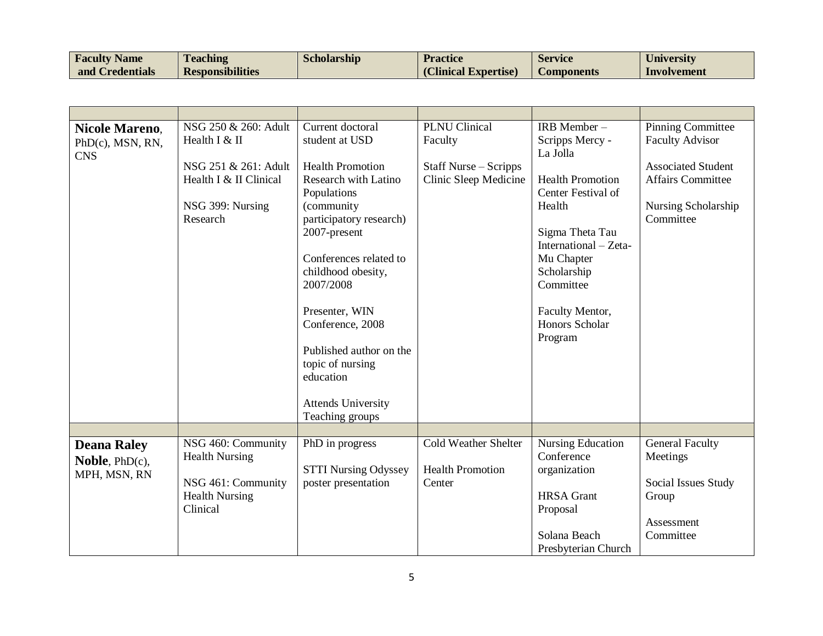| <b>Faculty Name</b> | <b>Teaching</b>         | <b>Scholarship</b> | <b>Practice</b>      | <b>Service</b> | University  |
|---------------------|-------------------------|--------------------|----------------------|----------------|-------------|
| and Credentials     | <b>Responsibilities</b> |                    | (Clinical Expertise) | Components     | Involvement |

| <b>Nicole Mareno,</b><br>PhD(c), MSN, RN,<br><b>CNS</b>         | NSG 250 & 260: Adult<br>Health I & II<br>NSG 251 & 261: Adult<br>Health I & II Clinical<br>NSG 399: Nursing<br>Research | Current doctoral<br>student at USD<br><b>Health Promotion</b><br><b>Research with Latino</b><br>Populations<br>(community<br>participatory research)<br>2007-present<br>Conferences related to<br>childhood obesity,<br>2007/2008<br>Presenter, WIN<br>Conference, 2008<br>Published author on the<br>topic of nursing<br>education<br><b>Attends University</b><br>Teaching groups | <b>PLNU</b> Clinical<br>Faculty<br>Staff Nurse – Scripps<br>Clinic Sleep Medicine | IRB Member-<br>Scripps Mercy -<br>La Jolla<br><b>Health Promotion</b><br>Center Festival of<br>Health<br>Sigma Theta Tau<br>International – Zeta-<br>Mu Chapter<br>Scholarship<br>Committee<br>Faculty Mentor,<br><b>Honors Scholar</b><br>Program | <b>Pinning Committee</b><br><b>Faculty Advisor</b><br><b>Associated Student</b><br><b>Affairs Committee</b><br>Nursing Scholarship<br>Committee |
|-----------------------------------------------------------------|-------------------------------------------------------------------------------------------------------------------------|-------------------------------------------------------------------------------------------------------------------------------------------------------------------------------------------------------------------------------------------------------------------------------------------------------------------------------------------------------------------------------------|-----------------------------------------------------------------------------------|----------------------------------------------------------------------------------------------------------------------------------------------------------------------------------------------------------------------------------------------------|-------------------------------------------------------------------------------------------------------------------------------------------------|
|                                                                 |                                                                                                                         |                                                                                                                                                                                                                                                                                                                                                                                     |                                                                                   |                                                                                                                                                                                                                                                    |                                                                                                                                                 |
| <b>Deana Raley</b><br><b>Noble</b> , $PhD(c)$ ,<br>MPH, MSN, RN | NSG 460: Community<br><b>Health Nursing</b><br>NSG 461: Community<br><b>Health Nursing</b><br>Clinical                  | PhD in progress<br><b>STTI Nursing Odyssey</b><br>poster presentation                                                                                                                                                                                                                                                                                                               | <b>Cold Weather Shelter</b><br><b>Health Promotion</b><br>Center                  | <b>Nursing Education</b><br>Conference<br>organization<br><b>HRSA</b> Grant<br>Proposal<br>Solana Beach<br>Presbyterian Church                                                                                                                     | General Faculty<br>Meetings<br>Social Issues Study<br>Group<br>Assessment<br>Committee                                                          |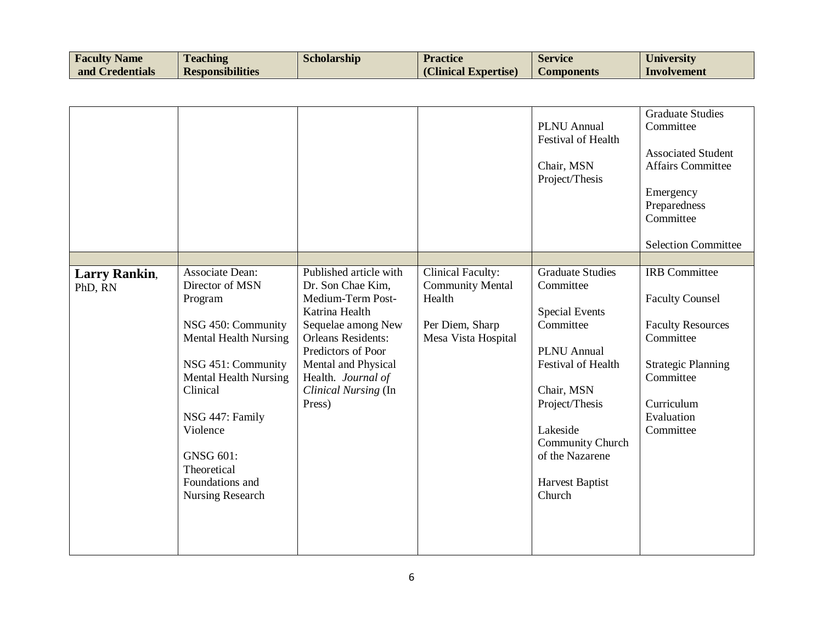| <b>Faculty Name</b> | <b>Teaching</b>         | Scholarship | <b>Practice</b>      | Service    | University  |
|---------------------|-------------------------|-------------|----------------------|------------|-------------|
| and Credentials     | <b>Responsibilities</b> |             | (Clinical Expertise) | Components | Involvement |

|                                 |                                                                                                                                                                                                                                                                                |                                                                                                                                                                                                                                            |                                                                                                         | <b>PLNU</b> Annual<br><b>Festival of Health</b><br>Chair, MSN<br>Project/Thesis                                                                                                                                                                      | <b>Graduate Studies</b><br>Committee<br><b>Associated Student</b><br><b>Affairs Committee</b><br>Emergency<br>Preparedness<br>Committee<br><b>Selection Committee</b>      |
|---------------------------------|--------------------------------------------------------------------------------------------------------------------------------------------------------------------------------------------------------------------------------------------------------------------------------|--------------------------------------------------------------------------------------------------------------------------------------------------------------------------------------------------------------------------------------------|---------------------------------------------------------------------------------------------------------|------------------------------------------------------------------------------------------------------------------------------------------------------------------------------------------------------------------------------------------------------|----------------------------------------------------------------------------------------------------------------------------------------------------------------------------|
| <b>Larry Rankin,</b><br>PhD, RN | Associate Dean:<br>Director of MSN<br>Program<br>NSG 450: Community<br><b>Mental Health Nursing</b><br>NSG 451: Community<br><b>Mental Health Nursing</b><br>Clinical<br>NSG 447: Family<br>Violence<br><b>GNSG 601:</b><br>Theoretical<br>Foundations and<br>Nursing Research | Published article with<br>Dr. Son Chae Kim,<br>Medium-Term Post-<br>Katrina Health<br>Sequelae among New<br><b>Orleans Residents:</b><br>Predictors of Poor<br>Mental and Physical<br>Health. Journal of<br>Clinical Nursing (In<br>Press) | <b>Clinical Faculty:</b><br><b>Community Mental</b><br>Health<br>Per Diem, Sharp<br>Mesa Vista Hospital | <b>Graduate Studies</b><br>Committee<br><b>Special Events</b><br>Committee<br><b>PLNU</b> Annual<br>Festival of Health<br>Chair, MSN<br>Project/Thesis<br>Lakeside<br><b>Community Church</b><br>of the Nazarene<br><b>Harvest Baptist</b><br>Church | <b>IRB</b> Committee<br><b>Faculty Counsel</b><br><b>Faculty Resources</b><br>Committee<br><b>Strategic Planning</b><br>Committee<br>Curriculum<br>Evaluation<br>Committee |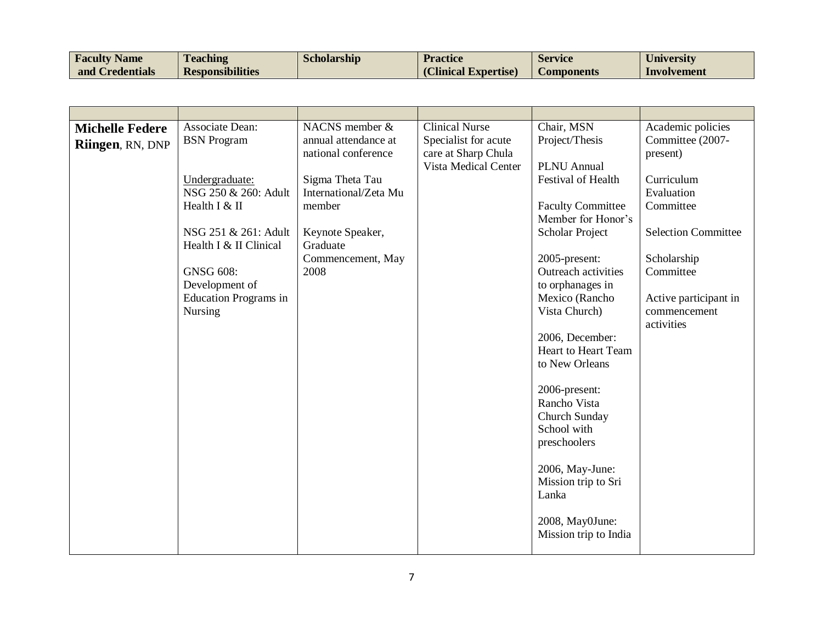| <b>Faculty Name</b> | <b>Teaching</b>         | Scholarship | <b>Practice</b>      | <b>Service</b> | University  |
|---------------------|-------------------------|-------------|----------------------|----------------|-------------|
| and Credentials     | <b>Responsibilities</b> |             | (Clinical Expertise) | Components     | Involvement |

|                        | <b>Associate Dean:</b>       | NACNS member &        | <b>Clinical Nurse</b> | Chair, MSN                 | Academic policies          |
|------------------------|------------------------------|-----------------------|-----------------------|----------------------------|----------------------------|
| <b>Michelle Federe</b> |                              | annual attendance at  |                       |                            |                            |
| Riingen, RN, DNP       | <b>BSN</b> Program           |                       | Specialist for acute  | Project/Thesis             | Committee (2007-           |
|                        |                              | national conference   | care at Sharp Chula   |                            | present)                   |
|                        |                              |                       | Vista Medical Center  | <b>PLNU</b> Annual         |                            |
|                        | Undergraduate:               | Sigma Theta Tau       |                       | <b>Festival of Health</b>  | Curriculum                 |
|                        | NSG 250 & 260: Adult         | International/Zeta Mu |                       |                            | Evaluation                 |
|                        | Health I & II                | member                |                       | <b>Faculty Committee</b>   | Committee                  |
|                        |                              |                       |                       | Member for Honor's         |                            |
|                        | NSG 251 & 261: Adult         | Keynote Speaker,      |                       | Scholar Project            | <b>Selection Committee</b> |
|                        | Health I & II Clinical       | Graduate              |                       |                            |                            |
|                        |                              | Commencement, May     |                       | 2005-present:              | Scholarship                |
|                        | <b>GNSG 608:</b>             | 2008                  |                       | Outreach activities        | Committee                  |
|                        | Development of               |                       |                       | to orphanages in           |                            |
|                        | <b>Education Programs in</b> |                       |                       | Mexico (Rancho             | Active participant in      |
|                        | <b>Nursing</b>               |                       |                       | Vista Church)              | commencement               |
|                        |                              |                       |                       |                            | activities                 |
|                        |                              |                       |                       | 2006, December:            |                            |
|                        |                              |                       |                       | <b>Heart to Heart Team</b> |                            |
|                        |                              |                       |                       | to New Orleans             |                            |
|                        |                              |                       |                       |                            |                            |
|                        |                              |                       |                       |                            |                            |
|                        |                              |                       |                       | 2006-present:              |                            |
|                        |                              |                       |                       | Rancho Vista               |                            |
|                        |                              |                       |                       | Church Sunday              |                            |
|                        |                              |                       |                       | School with                |                            |
|                        |                              |                       |                       | preschoolers               |                            |
|                        |                              |                       |                       |                            |                            |
|                        |                              |                       |                       | 2006, May-June:            |                            |
|                        |                              |                       |                       | Mission trip to Sri        |                            |
|                        |                              |                       |                       | Lanka                      |                            |
|                        |                              |                       |                       |                            |                            |
|                        |                              |                       |                       | 2008, May0June:            |                            |
|                        |                              |                       |                       | Mission trip to India      |                            |
|                        |                              |                       |                       |                            |                            |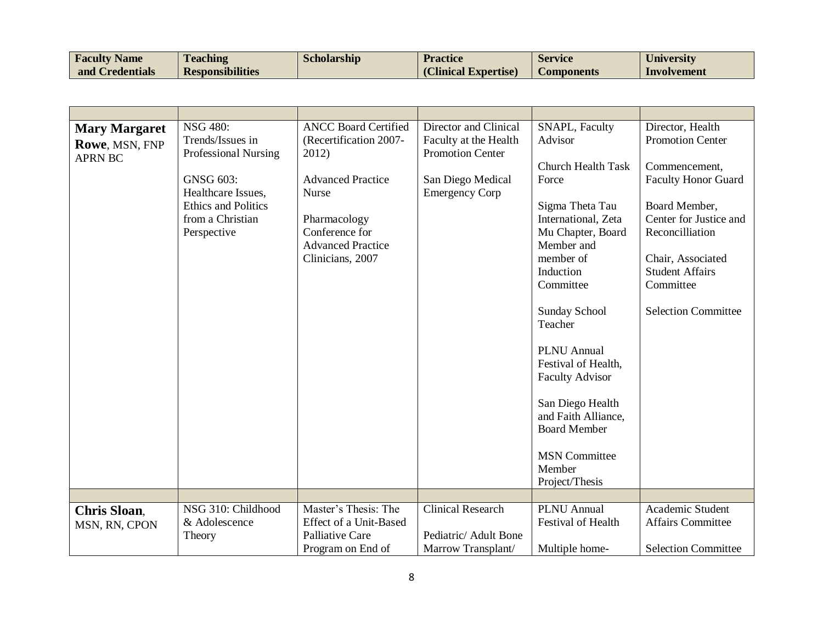| <b>Faculty Name</b> | <b>Teaching</b>         | Scholarship | <b>Practice</b>      | Service           | University  |
|---------------------|-------------------------|-------------|----------------------|-------------------|-------------|
| and Credentials     | <b>Responsibilities</b> |             | (Clinical Expertise) | <b>Components</b> | Involvement |

| <b>Mary Margaret</b> | <b>NSG 480:</b>             | <b>ANCC Board Certified</b> | Director and Clinical    | SNAPL, Faculty            | Director, Health           |
|----------------------|-----------------------------|-----------------------------|--------------------------|---------------------------|----------------------------|
| Rowe, MSN, FNP       | Trends/Issues in            | (Recertification 2007-      | Faculty at the Health    | Advisor                   | <b>Promotion Center</b>    |
| <b>APRN BC</b>       | <b>Professional Nursing</b> | 2012)                       | <b>Promotion Center</b>  |                           |                            |
|                      |                             |                             |                          | Church Health Task        | Commencement,              |
|                      | <b>GNSG 603:</b>            | <b>Advanced Practice</b>    | San Diego Medical        | Force                     | <b>Faculty Honor Guard</b> |
|                      | Healthcare Issues,          | <b>Nurse</b>                | <b>Emergency Corp</b>    |                           |                            |
|                      | <b>Ethics and Politics</b>  |                             |                          | Sigma Theta Tau           | Board Member,              |
|                      | from a Christian            | Pharmacology                |                          | International, Zeta       | Center for Justice and     |
|                      | Perspective                 | Conference for              |                          | Mu Chapter, Board         | Reconcilliation            |
|                      |                             | <b>Advanced Practice</b>    |                          | Member and                |                            |
|                      |                             | Clinicians, 2007            |                          | member of                 | Chair, Associated          |
|                      |                             |                             |                          | Induction                 | <b>Student Affairs</b>     |
|                      |                             |                             |                          | Committee                 | Committee                  |
|                      |                             |                             |                          |                           |                            |
|                      |                             |                             |                          | Sunday School             | <b>Selection Committee</b> |
|                      |                             |                             |                          | Teacher                   |                            |
|                      |                             |                             |                          |                           |                            |
|                      |                             |                             |                          |                           |                            |
|                      |                             |                             |                          | <b>PLNU</b> Annual        |                            |
|                      |                             |                             |                          | Festival of Health,       |                            |
|                      |                             |                             |                          | <b>Faculty Advisor</b>    |                            |
|                      |                             |                             |                          | San Diego Health          |                            |
|                      |                             |                             |                          | and Faith Alliance,       |                            |
|                      |                             |                             |                          | <b>Board Member</b>       |                            |
|                      |                             |                             |                          |                           |                            |
|                      |                             |                             |                          | <b>MSN</b> Committee      |                            |
|                      |                             |                             |                          | Member                    |                            |
|                      |                             |                             |                          | Project/Thesis            |                            |
|                      |                             |                             |                          |                           |                            |
|                      | NSG 310: Childhood          | Master's Thesis: The        | <b>Clinical Research</b> | <b>PLNU</b> Annual        | Academic Student           |
| <b>Chris Sloan,</b>  | & Adolescence               |                             |                          | <b>Festival of Health</b> | <b>Affairs Committee</b>   |
| MSN, RN, CPON        |                             | Effect of a Unit-Based      |                          |                           |                            |
|                      | Theory                      | Palliative Care             | Pediatric/ Adult Bone    |                           |                            |
|                      |                             | Program on End of           | Marrow Transplant/       | Multiple home-            | <b>Selection Committee</b> |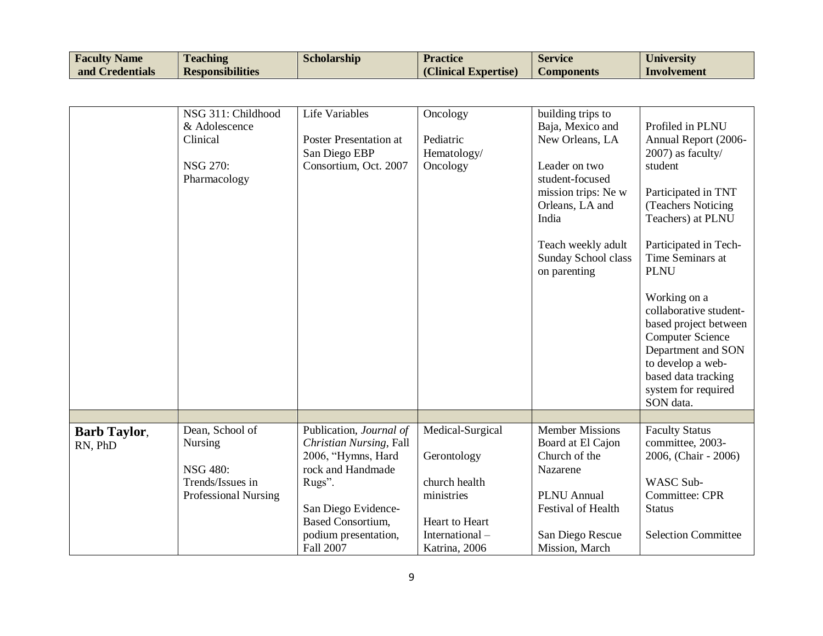| <b>Faculty Name</b> | <b>Teaching</b>         | <b>Scholarship</b> | <b>Practice</b>      | <b>Service</b> | University  |
|---------------------|-------------------------|--------------------|----------------------|----------------|-------------|
| and Credentials     | <b>Responsibilities</b> |                    | (Clinical Expertise) | Components     | Involvement |

|                     | NSG 311: Childhood   | <b>Life Variables</b>         |                  |                           |                            |
|---------------------|----------------------|-------------------------------|------------------|---------------------------|----------------------------|
|                     |                      |                               | Oncology         | building trips to         |                            |
|                     | & Adolescence        |                               |                  | Baja, Mexico and          | Profiled in PLNU           |
|                     | Clinical             | <b>Poster Presentation at</b> | Pediatric        | New Orleans, LA           | Annual Report (2006-       |
|                     |                      | San Diego EBP                 | Hematology/      |                           | 2007) as faculty/          |
|                     | <b>NSG 270:</b>      | Consortium, Oct. 2007         | Oncology         | Leader on two             | student                    |
|                     | Pharmacology         |                               |                  | student-focused           |                            |
|                     |                      |                               |                  | mission trips: Ne w       | Participated in TNT        |
|                     |                      |                               |                  | Orleans, LA and           | (Teachers Noticing         |
|                     |                      |                               |                  | India                     | Teachers) at PLNU          |
|                     |                      |                               |                  |                           |                            |
|                     |                      |                               |                  | Teach weekly adult        | Participated in Tech-      |
|                     |                      |                               |                  | Sunday School class       | Time Seminars at           |
|                     |                      |                               |                  | on parenting              | <b>PLNU</b>                |
|                     |                      |                               |                  |                           |                            |
|                     |                      |                               |                  |                           | Working on a               |
|                     |                      |                               |                  |                           | collaborative student-     |
|                     |                      |                               |                  |                           | based project between      |
|                     |                      |                               |                  |                           | <b>Computer Science</b>    |
|                     |                      |                               |                  |                           | Department and SON         |
|                     |                      |                               |                  |                           | to develop a web-          |
|                     |                      |                               |                  |                           | based data tracking        |
|                     |                      |                               |                  |                           | system for required        |
|                     |                      |                               |                  |                           | SON data.                  |
|                     |                      |                               |                  |                           |                            |
| <b>Barb Taylor,</b> | Dean, School of      | Publication, Journal of       | Medical-Surgical | <b>Member Missions</b>    | <b>Faculty Status</b>      |
| RN, PhD             | <b>Nursing</b>       | Christian Nursing, Fall       |                  | Board at El Cajon         | committee, 2003-           |
|                     |                      | 2006, "Hymns, Hard            | Gerontology      | Church of the             | 2006, (Chair - 2006)       |
|                     | <b>NSG 480:</b>      | rock and Handmade             |                  | Nazarene                  |                            |
|                     | Trends/Issues in     | Rugs".                        | church health    |                           | <b>WASC Sub-</b>           |
|                     | Professional Nursing |                               | ministries       | <b>PLNU</b> Annual        | Committee: CPR             |
|                     |                      | San Diego Evidence-           |                  | <b>Festival of Health</b> | <b>Status</b>              |
|                     |                      | <b>Based Consortium,</b>      | Heart to Heart   |                           |                            |
|                     |                      | podium presentation,          | International-   | San Diego Rescue          | <b>Selection Committee</b> |
|                     |                      | Fall 2007                     | Katrina, 2006    | Mission, March            |                            |